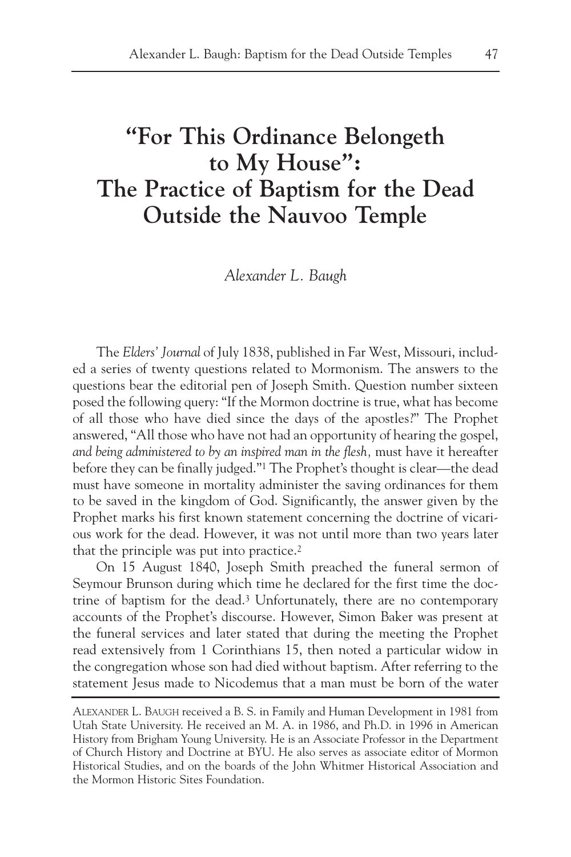# **"For This Ordinance Belongeth to My House": The Practice of Baptism for the Dead Outside the Nauvoo Temple**

*Alexander L. Baugh*

The *Elders' Journal* of July 1838, published in Far West, Missouri, included a series of twenty questions related to Mormonism. The answers to the questions bear the editorial pen of Joseph Smith. Question number sixteen posed the following query: "If the Mormon doctrine is true, what has become of all those who have died since the days of the apostles?" The Prophet answered, "All those who have not had an opportunity of hearing the gospel, *and being administered to by an inspired man in the flesh,* must have it hereafter before they can be finally judged."1 The Prophet's thought is clear—the dead must have someone in mortality administer the saving ordinances for them to be saved in the kingdom of God. Significantly, the answer given by the Prophet marks his first known statement concerning the doctrine of vicarious work for the dead. However, it was not until more than two years later that the principle was put into practice.<sup>2</sup>

On 15 August 1840, Joseph Smith preached the funeral sermon of Seymour Brunson during which time he declared for the first time the doctrine of baptism for the dead.3 Unfortunately, there are no contemporary accounts of the Prophet's discourse. However, Simon Baker was present at the funeral services and later stated that during the meeting the Prophet read extensively from 1 Corinthians 15, then noted a particular widow in the congregation whose son had died without baptism. After referring to the statement Jesus made to Nicodemus that a man must be born of the water

ALEXANDER L. BAUGH received a B. S. in Family and Human Development in 1981 from Utah State University. He received an M. A. in 1986, and Ph.D. in 1996 in American History from Brigham Young University. He is an Associate Professor in the Department of Church History and Doctrine at BYU. He also serves as associate editor of Mormon Historical Studies, and on the boards of the John Whitmer Historical Association and the Mormon Historic Sites Foundation.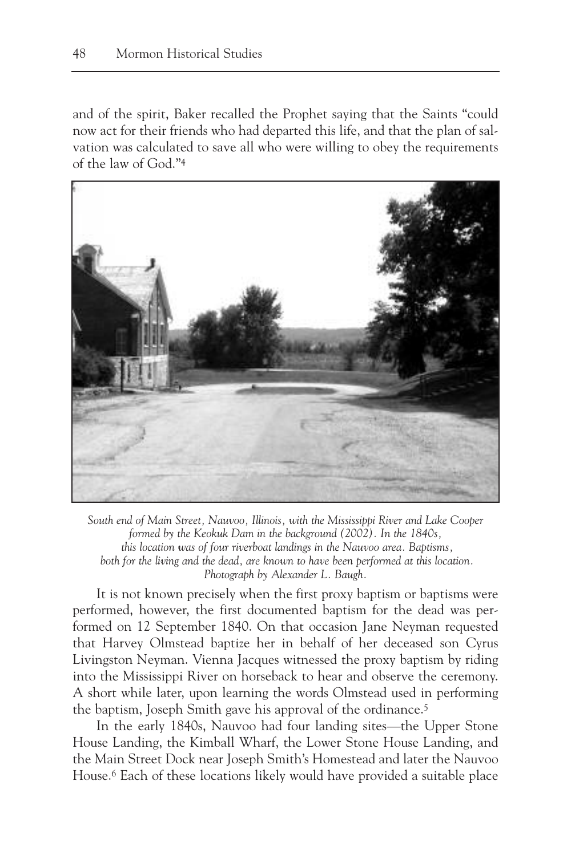and of the spirit, Baker recalled the Prophet saying that the Saints "could now act for their friends who had departed this life, and that the plan of salvation was calculated to save all who were willing to obey the requirements of the law of God."4



*South end of Main Street, Nauvoo, Illinois, with the Mississippi River and Lake Cooper formed by the Keokuk Dam in the background (2002). In the 1840s, this location was of four riverboat landings in the Nauvoo area. Baptisms, both for the living and the dead, are known to have been performed at this location. Photograph by Alexander L. Baugh.*

It is not known precisely when the first proxy baptism or baptisms were performed, however, the first documented baptism for the dead was performed on 12 September 1840. On that occasion Jane Neyman requested that Harvey Olmstead baptize her in behalf of her deceased son Cyrus Livingston Neyman. Vienna Jacques witnessed the proxy baptism by riding into the Mississippi River on horseback to hear and observe the ceremony. A short while later, upon learning the words Olmstead used in performing the baptism, Joseph Smith gave his approval of the ordinance.<sup>5</sup>

In the early 1840s, Nauvoo had four landing sites—the Upper Stone House Landing, the Kimball Wharf, the Lower Stone House Landing, and the Main Street Dock near Joseph Smith's Homestead and later the Nauvoo House.6 Each of these locations likely would have provided a suitable place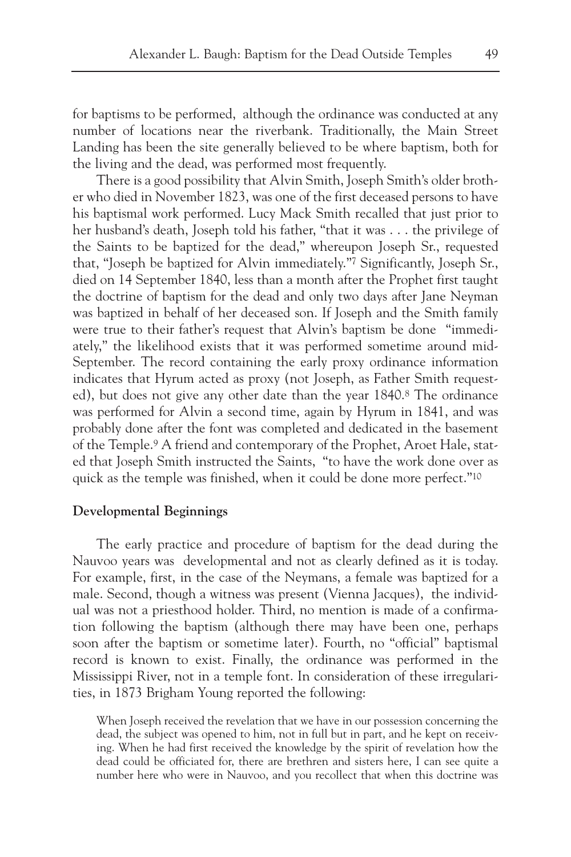for baptisms to be performed, although the ordinance was conducted at any number of locations near the riverbank. Traditionally, the Main Street Landing has been the site generally believed to be where baptism, both for the living and the dead, was performed most frequently.

There is a good possibility that Alvin Smith, Joseph Smith's older brother who died in November 1823, was one of the first deceased persons to have his baptismal work performed. Lucy Mack Smith recalled that just prior to her husband's death, Joseph told his father, "that it was . . . the privilege of the Saints to be baptized for the dead," whereupon Joseph Sr., requested that, "Joseph be baptized for Alvin immediately."7 Significantly, Joseph Sr., died on 14 September 1840, less than a month after the Prophet first taught the doctrine of baptism for the dead and only two days after Jane Neyman was baptized in behalf of her deceased son. If Joseph and the Smith family were true to their father's request that Alvin's baptism be done "immediately," the likelihood exists that it was performed sometime around mid-September. The record containing the early proxy ordinance information indicates that Hyrum acted as proxy (not Joseph, as Father Smith requested), but does not give any other date than the year 1840.8 The ordinance was performed for Alvin a second time, again by Hyrum in 1841, and was probably done after the font was completed and dedicated in the basement of the Temple.9 A friend and contemporary of the Prophet, Aroet Hale, stated that Joseph Smith instructed the Saints, "to have the work done over as quick as the temple was finished, when it could be done more perfect."10

### **Developmental Beginnings**

The early practice and procedure of baptism for the dead during the Nauvoo years was developmental and not as clearly defined as it is today. For example, first, in the case of the Neymans, a female was baptized for a male. Second, though a witness was present (Vienna Jacques), the individual was not a priesthood holder. Third, no mention is made of a confirmation following the baptism (although there may have been one, perhaps soon after the baptism or sometime later). Fourth, no "official" baptismal record is known to exist. Finally, the ordinance was performed in the Mississippi River, not in a temple font. In consideration of these irregularities, in 1873 Brigham Young reported the following:

When Joseph received the revelation that we have in our possession concerning the dead, the subject was opened to him, not in full but in part, and he kept on receiving. When he had first received the knowledge by the spirit of revelation how the dead could be officiated for, there are brethren and sisters here, I can see quite a number here who were in Nauvoo, and you recollect that when this doctrine was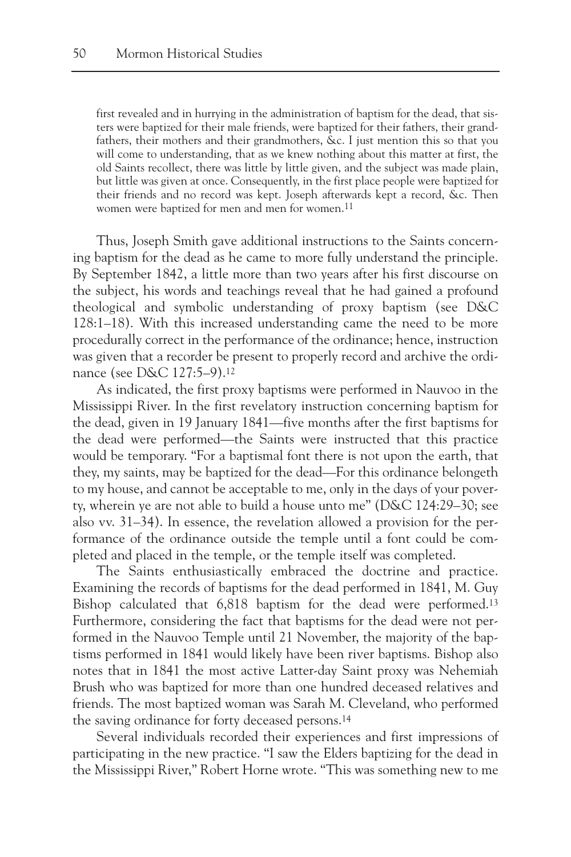first revealed and in hurrying in the administration of baptism for the dead, that sisters were baptized for their male friends, were baptized for their fathers, their grandfathers, their mothers and their grandmothers, &c. I just mention this so that you will come to understanding, that as we knew nothing about this matter at first, the old Saints recollect, there was little by little given, and the subject was made plain, but little was given at once. Consequently, in the first place people were baptized for their friends and no record was kept. Joseph afterwards kept a record, &c. Then women were baptized for men and men for women.<sup>11</sup>

Thus, Joseph Smith gave additional instructions to the Saints concerning baptism for the dead as he came to more fully understand the principle. By September 1842, a little more than two years after his first discourse on the subject, his words and teachings reveal that he had gained a profound theological and symbolic understanding of proxy baptism (see D&C 128:1–18). With this increased understanding came the need to be more procedurally correct in the performance of the ordinance; hence, instruction was given that a recorder be present to properly record and archive the ordinance (see D&C 127:5–9).12

As indicated, the first proxy baptisms were performed in Nauvoo in the Mississippi River. In the first revelatory instruction concerning baptism for the dead, given in 19 January 1841—five months after the first baptisms for the dead were performed—the Saints were instructed that this practice would be temporary. "For a baptismal font there is not upon the earth, that they, my saints, may be baptized for the dead—For this ordinance belongeth to my house, and cannot be acceptable to me, only in the days of your poverty, wherein ye are not able to build a house unto me" (D&C 124:29–30; see also vv. 31–34). In essence, the revelation allowed a provision for the performance of the ordinance outside the temple until a font could be completed and placed in the temple, or the temple itself was completed.

The Saints enthusiastically embraced the doctrine and practice. Examining the records of baptisms for the dead performed in 1841, M. Guy Bishop calculated that 6,818 baptism for the dead were performed.13 Furthermore, considering the fact that baptisms for the dead were not performed in the Nauvoo Temple until 21 November, the majority of the baptisms performed in 1841 would likely have been river baptisms. Bishop also notes that in 1841 the most active Latter-day Saint proxy was Nehemiah Brush who was baptized for more than one hundred deceased relatives and friends. The most baptized woman was Sarah M. Cleveland, who performed the saving ordinance for forty deceased persons.14

Several individuals recorded their experiences and first impressions of participating in the new practice. "I saw the Elders baptizing for the dead in the Mississippi River," Robert Horne wrote. "This was something new to me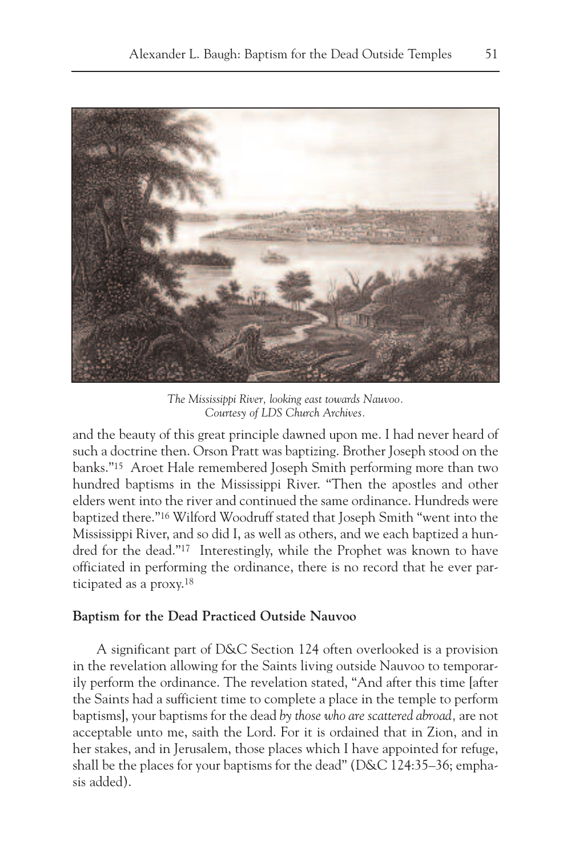

*The Mississippi River, looking east towards Nauvoo. Courtesy of LDS Church Archives.*

and the beauty of this great principle dawned upon me. I had never heard of such a doctrine then. Orson Pratt was baptizing. Brother Joseph stood on the banks."15 Aroet Hale remembered Joseph Smith performing more than two hundred baptisms in the Mississippi River. "Then the apostles and other elders went into the river and continued the same ordinance. Hundreds were baptized there."16 Wilford Woodruff stated that Joseph Smith "went into the Mississippi River, and so did I, as well as others, and we each baptized a hundred for the dead."17 Interestingly, while the Prophet was known to have officiated in performing the ordinance, there is no record that he ever participated as a proxy.18

### **Baptism for the Dead Practiced Outside Nauvoo**

A significant part of D&C Section 124 often overlooked is a provision in the revelation allowing for the Saints living outside Nauvoo to temporarily perform the ordinance. The revelation stated, "And after this time [after the Saints had a sufficient time to complete a place in the temple to perform baptisms], your baptisms for the dead *by those who are scattered abroad,* are not acceptable unto me, saith the Lord. For it is ordained that in Zion, and in her stakes, and in Jerusalem, those places which I have appointed for refuge, shall be the places for your baptisms for the dead" (D&C 124:35–36; emphasis added).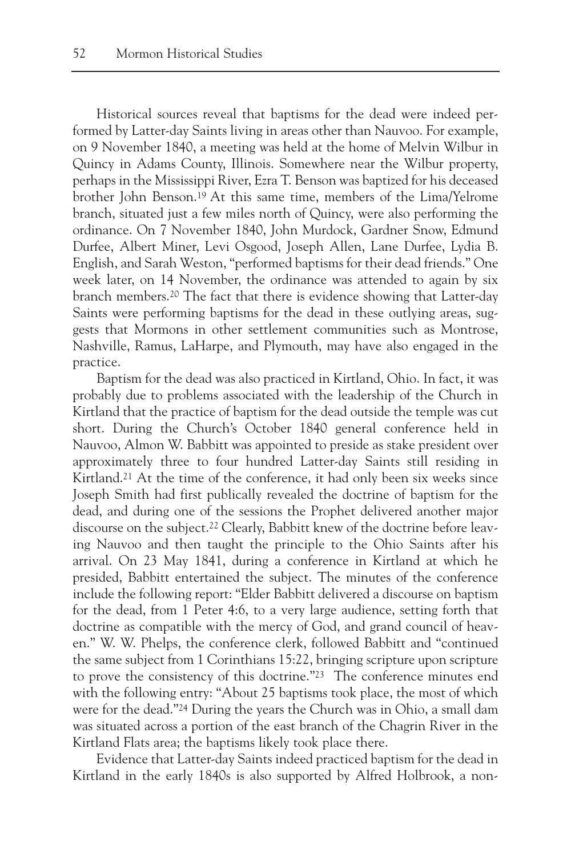Historical sources reveal that baptisms for the dead were indeed performed by Latter-day Saints living in areas other than Nauvoo. For example, on 9 November 1840, a meeting was held at the home of Melvin Wilbur in Quincy in Adams County, Illinois. Somewhere near the Wilbur property, perhaps in the Mississippi River, Ezra T. Benson was baptized for his deceased brother John Benson.19 At this same time, members of the Lima/Yelrome branch, situated just a few miles north of Quincy, were also performing the ordinance. On 7 November 1840, John Murdock, Gardner Snow, Edmund Durfee, Albert Miner, Levi Osgood, Joseph Allen, Lane Durfee, Lydia B. English, and Sarah Weston, "performed baptisms for their dead friends." One week later, on 14 November, the ordinance was attended to again by six branch members.20 The fact that there is evidence showing that Latter-day Saints were performing baptisms for the dead in these outlying areas, suggests that Mormons in other settlement communities such as Montrose, Nashville, Ramus, LaHarpe, and Plymouth, may have also engaged in the practice.

Baptism for the dead was also practiced in Kirtland, Ohio. In fact, it was probably due to problems associated with the leadership of the Church in Kirtland that the practice of baptism for the dead outside the temple was cut short. During the Church's October 1840 general conference held in Nauvoo, Almon W. Babbitt was appointed to preside as stake president over approximately three to four hundred Latter-day Saints still residing in Kirtland.<sup>21</sup> At the time of the conference, it had only been six weeks since Joseph Smith had first publically revealed the doctrine of baptism for the dead, and during one of the sessions the Prophet delivered another major discourse on the subject.22 Clearly, Babbitt knew of the doctrine before leaving Nauvoo and then taught the principle to the Ohio Saints after his arrival. On 23 May 1841, during a conference in Kirtland at which he presided, Babbitt entertained the subject. The minutes of the conference include the following report: "Elder Babbitt delivered a discourse on baptism for the dead, from 1 Peter 4:6, to a very large audience, setting forth that doctrine as compatible with the mercy of God, and grand council of heaven." W. W. Phelps, the conference clerk, followed Babbitt and "continued the same subject from 1 Corinthians 15:22, bringing scripture upon scripture to prove the consistency of this doctrine."23 The conference minutes end with the following entry: "About 25 baptisms took place, the most of which were for the dead."24 During the years the Church was in Ohio, a small dam was situated across a portion of the east branch of the Chagrin River in the Kirtland Flats area; the baptisms likely took place there.

Evidence that Latter-day Saints indeed practiced baptism for the dead in Kirtland in the early 1840s is also supported by Alfred Holbrook, a non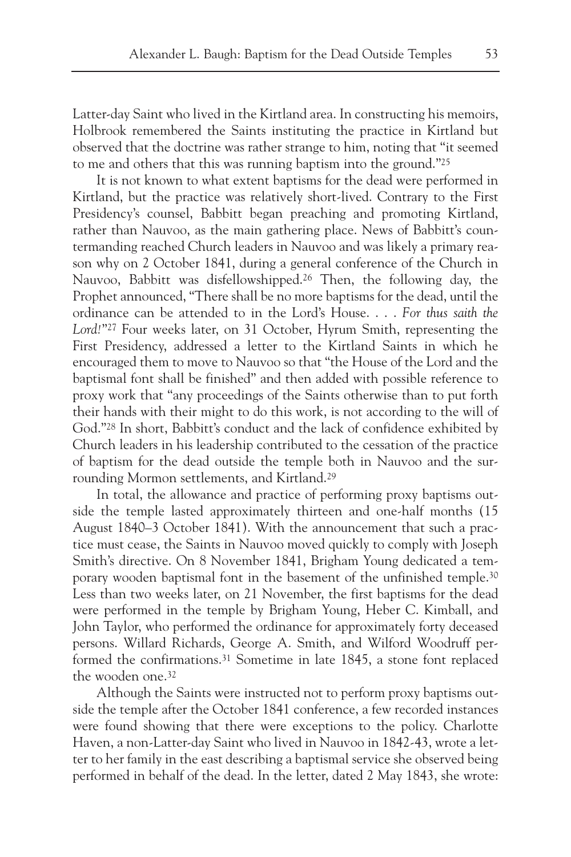Latter-day Saint who lived in the Kirtland area. In constructing his memoirs, Holbrook remembered the Saints instituting the practice in Kirtland but observed that the doctrine was rather strange to him, noting that "it seemed to me and others that this was running baptism into the ground."25

It is not known to what extent baptisms for the dead were performed in Kirtland, but the practice was relatively short-lived. Contrary to the First Presidency's counsel, Babbitt began preaching and promoting Kirtland, rather than Nauvoo, as the main gathering place. News of Babbitt's countermanding reached Church leaders in Nauvoo and was likely a primary reason why on 2 October 1841, during a general conference of the Church in Nauvoo, Babbitt was disfellowshipped.26 Then, the following day, the Prophet announced, "There shall be no more baptisms for the dead, until the ordinance can be attended to in the Lord's House. . . . *For thus saith the Lord!*"27 Four weeks later, on 31 October, Hyrum Smith, representing the First Presidency, addressed a letter to the Kirtland Saints in which he encouraged them to move to Nauvoo so that "the House of the Lord and the baptismal font shall be finished" and then added with possible reference to proxy work that "any proceedings of the Saints otherwise than to put forth their hands with their might to do this work, is not according to the will of God."28 In short, Babbitt's conduct and the lack of confidence exhibited by Church leaders in his leadership contributed to the cessation of the practice of baptism for the dead outside the temple both in Nauvoo and the surrounding Mormon settlements, and Kirtland.29

In total, the allowance and practice of performing proxy baptisms outside the temple lasted approximately thirteen and one-half months (15 August 1840–3 October 1841). With the announcement that such a practice must cease, the Saints in Nauvoo moved quickly to comply with Joseph Smith's directive. On 8 November 1841, Brigham Young dedicated a temporary wooden baptismal font in the basement of the unfinished temple.30 Less than two weeks later, on 21 November, the first baptisms for the dead were performed in the temple by Brigham Young, Heber C. Kimball, and John Taylor, who performed the ordinance for approximately forty deceased persons. Willard Richards, George A. Smith, and Wilford Woodruff performed the confirmations.31 Sometime in late 1845, a stone font replaced the wooden one.32

Although the Saints were instructed not to perform proxy baptisms outside the temple after the October 1841 conference, a few recorded instances were found showing that there were exceptions to the policy. Charlotte Haven, a non-Latter-day Saint who lived in Nauvoo in 1842-43, wrote a letter to her family in the east describing a baptismal service she observed being performed in behalf of the dead. In the letter, dated 2 May 1843, she wrote: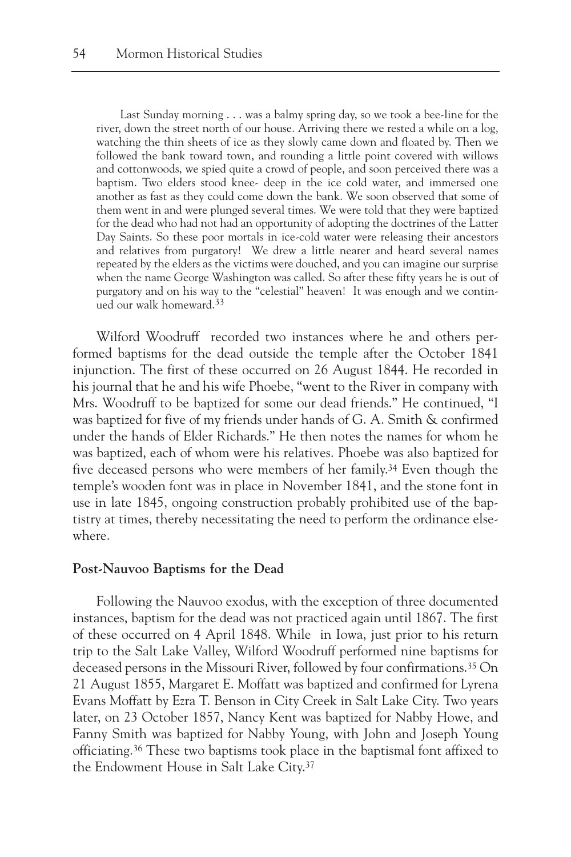Last Sunday morning . . . was a balmy spring day, so we took a bee-line for the river, down the street north of our house. Arriving there we rested a while on a log, watching the thin sheets of ice as they slowly came down and floated by. Then we followed the bank toward town, and rounding a little point covered with willows and cottonwoods, we spied quite a crowd of people, and soon perceived there was a baptism. Two elders stood knee- deep in the ice cold water, and immersed one another as fast as they could come down the bank. We soon observed that some of them went in and were plunged several times. We were told that they were baptized for the dead who had not had an opportunity of adopting the doctrines of the Latter Day Saints. So these poor mortals in ice-cold water were releasing their ancestors and relatives from purgatory! We drew a little nearer and heard several names repeated by the elders as the victims were douched, and you can imagine our surprise when the name George Washington was called. So after these fifty years he is out of purgatory and on his way to the "celestial" heaven! It was enough and we continued our walk homeward.33

Wilford Woodruff recorded two instances where he and others performed baptisms for the dead outside the temple after the October 1841 injunction. The first of these occurred on 26 August 1844. He recorded in his journal that he and his wife Phoebe, "went to the River in company with Mrs. Woodruff to be baptized for some our dead friends." He continued, "I was baptized for five of my friends under hands of G. A. Smith & confirmed under the hands of Elder Richards." He then notes the names for whom he was baptized, each of whom were his relatives. Phoebe was also baptized for five deceased persons who were members of her family.34 Even though the temple's wooden font was in place in November 1841, and the stone font in use in late 1845, ongoing construction probably prohibited use of the baptistry at times, thereby necessitating the need to perform the ordinance elsewhere.

#### **Post-Nauvoo Baptisms for the Dead**

Following the Nauvoo exodus, with the exception of three documented instances, baptism for the dead was not practiced again until 1867. The first of these occurred on 4 April 1848. While in Iowa, just prior to his return trip to the Salt Lake Valley, Wilford Woodruff performed nine baptisms for deceased persons in the Missouri River, followed by four confirmations.35 On 21 August 1855, Margaret E. Moffatt was baptized and confirmed for Lyrena Evans Moffatt by Ezra T. Benson in City Creek in Salt Lake City. Two years later, on 23 October 1857, Nancy Kent was baptized for Nabby Howe, and Fanny Smith was baptized for Nabby Young, with John and Joseph Young officiating.36 These two baptisms took place in the baptismal font affixed to the Endowment House in Salt Lake City.37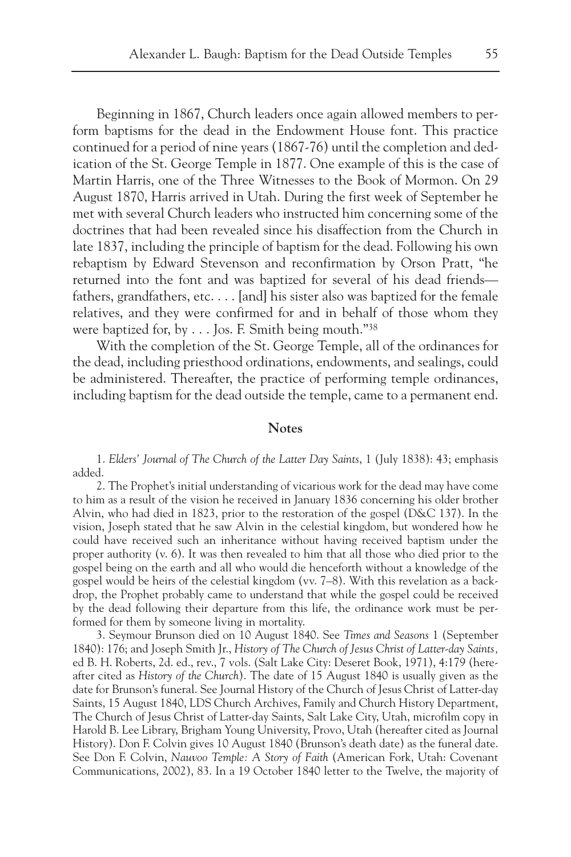Beginning in 1867, Church leaders once again allowed members to perform baptisms for the dead in the Endowment House font. This practice continued for a period of nine years (1867-76) until the completion and dedication of the St. George Temple in 1877. One example of this is the case of Martin Harris, one of the Three Witnesses to the Book of Mormon. On 29 August 1870, Harris arrived in Utah. During the first week of September he met with several Church leaders who instructed him concerning some of the doctrines that had been revealed since his disaffection from the Church in late 1837, including the principle of baptism for the dead. Following his own rebaptism by Edward Stevenson and reconfirmation by Orson Pratt, "he returned into the font and was baptized for several of his dead friends fathers, grandfathers, etc. . . . [and] his sister also was baptized for the female relatives, and they were confirmed for and in behalf of those whom they were baptized for, by . . . Jos. F. Smith being mouth."38

With the completion of the St. George Temple, all of the ordinances for the dead, including priesthood ordinations, endowments, and sealings, could be administered. Thereafter, the practice of performing temple ordinances, including baptism for the dead outside the temple, came to a permanent end.

## **Notes**

1. *Elders' Journal of The Church of the Latter Day Saints*, 1 (July 1838): 43; emphasis added.

2. The Prophet's initial understanding of vicarious work for the dead may have come to him as a result of the vision he received in January 1836 concerning his older brother Alvin, who had died in 1823, prior to the restoration of the gospel (D&C 137). In the vision, Joseph stated that he saw Alvin in the celestial kingdom, but wondered how he could have received such an inheritance without having received baptism under the proper authority (v. 6). It was then revealed to him that all those who died prior to the gospel being on the earth and all who would die henceforth without a knowledge of the gospel would be heirs of the celestial kingdom (vv. 7–8). With this revelation as a backdrop, the Prophet probably came to understand that while the gospel could be received by the dead following their departure from this life, the ordinance work must be performed for them by someone living in mortality.

3. Seymour Brunson died on 10 August 1840. See *Times and Seasons* 1 (September 1840): 176; and Joseph Smith Jr., *History of The Church of Jesus Christ of Latter-day Saints,* ed B. H. Roberts, 2d. ed., rev., 7 vols. (Salt Lake City: Deseret Book, 1971), 4:179 (hereafter cited as *History of the Church*). The date of 15 August 1840 is usually given as the date for Brunson's funeral. See Journal History of the Church of Jesus Christ of Latter-day Saints, 15 August 1840, LDS Church Archives, Family and Church History Department, The Church of Jesus Christ of Latter-day Saints, Salt Lake City, Utah, microfilm copy in Harold B. Lee Library, Brigham Young University, Provo, Utah (hereafter cited as Journal History). Don F. Colvin gives 10 August 1840 (Brunson's death date) as the funeral date. See Don F. Colvin, *Nauvoo Temple: A Story of Faith* (American Fork, Utah: Covenant Communications, 2002), 83. In a 19 October 1840 letter to the Twelve, the majority of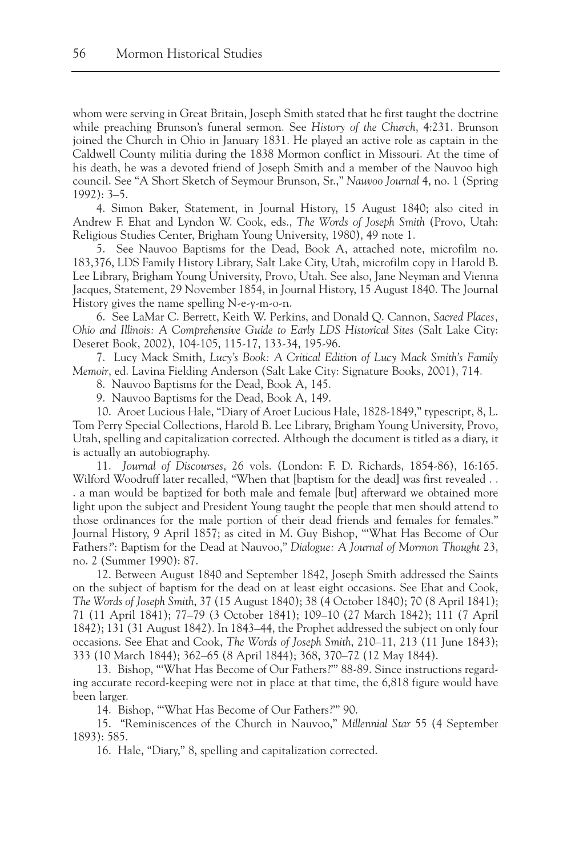whom were serving in Great Britain, Joseph Smith stated that he first taught the doctrine while preaching Brunson's funeral sermon. See *History of the Church*, 4:231. Brunson joined the Church in Ohio in January 1831. He played an active role as captain in the Caldwell County militia during the 1838 Mormon conflict in Missouri. At the time of his death, he was a devoted friend of Joseph Smith and a member of the Nauvoo high council. See "A Short Sketch of Seymour Brunson, Sr.," *Nauvoo Journal* 4, no. 1 (Spring 1992): 3–5.

4. Simon Baker, Statement, in Journal History, 15 August 1840; also cited in Andrew F. Ehat and Lyndon W. Cook, eds., *The Words of Joseph Smith* (Provo, Utah: Religious Studies Center, Brigham Young University, 1980), 49 note 1.

5. See Nauvoo Baptisms for the Dead, Book A, attached note, microfilm no. 183,376, LDS Family History Library, Salt Lake City, Utah, microfilm copy in Harold B. Lee Library, Brigham Young University, Provo, Utah. See also, Jane Neyman and Vienna Jacques, Statement, 29 November 1854, in Journal History, 15 August 1840. The Journal History gives the name spelling N-e-y-m-o-n.

6. See LaMar C. Berrett, Keith W. Perkins, and Donald Q. Cannon, *Sacred Places, Ohio and Illinois: A Comprehensive Guide to Early LDS Historical Sites* (Salt Lake City: Deseret Book, 2002), 104-105, 115-17, 133-34, 195-96.

7. Lucy Mack Smith, *Lucy's Book: A Critical Edition of Lucy Mack Smith's Family Memoir*, ed. Lavina Fielding Anderson (Salt Lake City: Signature Books, 2001), 714.

8. Nauvoo Baptisms for the Dead, Book A, 145.

9. Nauvoo Baptisms for the Dead, Book A, 149.

10. Aroet Lucious Hale, "Diary of Aroet Lucious Hale, 1828-1849," typescript, 8, L. Tom Perry Special Collections, Harold B. Lee Library, Brigham Young University, Provo, Utah, spelling and capitalization corrected. Although the document is titled as a diary, it is actually an autobiography.

11. *Journal of Discourses*, 26 vols. (London: F. D. Richards, 1854-86), 16:165. Wilford Woodruff later recalled, "When that [baptism for the dead] was first revealed . . . a man would be baptized for both male and female [but] afterward we obtained more light upon the subject and President Young taught the people that men should attend to those ordinances for the male portion of their dead friends and females for females." Journal History, 9 April 1857; as cited in M. Guy Bishop, "'What Has Become of Our Fathers?': Baptism for the Dead at Nauvoo," *Dialogue: A Journal of Mormon Thought* 23, no. 2 (Summer 1990): 87.

12. Between August 1840 and September 1842, Joseph Smith addressed the Saints on the subject of baptism for the dead on at least eight occasions. See Ehat and Cook, *The Words of Joseph Smith*, 37 (15 August 1840); 38 (4 October 1840); 70 (8 April 1841); 71 (11 April 1841); 77–79 (3 October 1841); 109–10 (27 March 1842); 111 (7 April 1842); 131 (31 August 1842). In 1843–44, the Prophet addressed the subject on only four occasions. See Ehat and Cook, *The Words of Joseph Smith*, 210–11, 213 (11 June 1843); 333 (10 March 1844); 362–65 (8 April 1844); 368, 370–72 (12 May 1844).

13. Bishop, "'What Has Become of Our Fathers?'" 88-89. Since instructions regarding accurate record-keeping were not in place at that time, the 6,818 figure would have been larger.

14. Bishop, "'What Has Become of Our Fathers?'" 90.

15. "Reminiscences of the Church in Nauvoo," *Millennial Star* 55 (4 September 1893): 585.

16. Hale, "Diary," 8, spelling and capitalization corrected.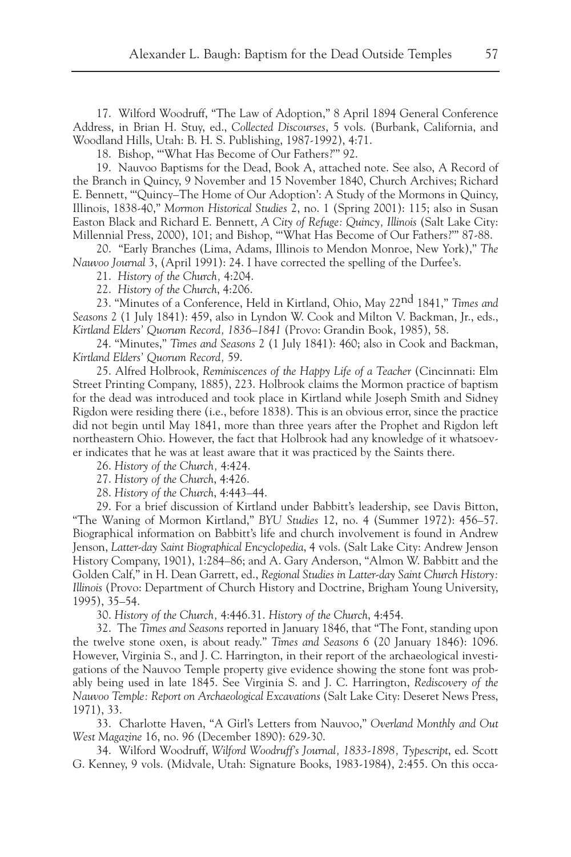17. Wilford Woodruff, "The Law of Adoption," 8 April 1894 General Conference Address, in Brian H. Stuy, ed., *Collected Discourses*, 5 vols. (Burbank, California, and Woodland Hills, Utah: B. H. S. Publishing, 1987-1992), 4:71.

18. Bishop, "'What Has Become of Our Fathers?'" 92.

19. Nauvoo Baptisms for the Dead, Book A, attached note. See also, A Record of the Branch in Quincy, 9 November and 15 November 1840, Church Archives; Richard E. Bennett, "'Quincy–The Home of Our Adoption': A Study of the Mormons in Quincy, Illinois, 1838-40," *Mormon Historical Studies* 2, no. 1 (Spring 2001): 115; also in Susan Easton Black and Richard E. Bennett, *A City of Refuge: Quincy, Illinois* (Salt Lake City: Millennial Press, 2000), 101; and Bishop, "'What Has Become of Our Fathers?'" 87-88.

20. "Early Branches (Lima, Adams, Illinois to Mendon Monroe, New York)," *The Nauvoo Journal* 3, (April 1991): 24. I have corrected the spelling of the Durfee's.

21. *History of the Church,* 4:204.

22. *History of the Church*, 4:206.

23. "Minutes of a Conference, Held in Kirtland, Ohio, May 22nd 1841," *Times and Seasons* 2 (1 July 1841): 459, also in Lyndon W. Cook and Milton V. Backman, Jr., eds., *Kirtland Elders' Quorum Record, 1836–1841* (Provo: Grandin Book, 1985), 58.

24. "Minutes," *Times and Seasons* 2 (1 July 1841): 460; also in Cook and Backman, *Kirtland Elders' Quorum Record,* 59.

25. Alfred Holbrook, *Reminiscences of the Happy Life of a Teacher* (Cincinnati: Elm Street Printing Company, 1885), 223. Holbrook claims the Mormon practice of baptism for the dead was introduced and took place in Kirtland while Joseph Smith and Sidney Rigdon were residing there (i.e., before 1838). This is an obvious error, since the practice did not begin until May 1841, more than three years after the Prophet and Rigdon left northeastern Ohio. However, the fact that Holbrook had any knowledge of it whatsoever indicates that he was at least aware that it was practiced by the Saints there.

26. *History of the Church,* 4:424.

27. *History of the Church*, 4:426.

28. *History of the Church*, 4:443–44.

29. For a brief discussion of Kirtland under Babbitt's leadership, see Davis Bitton, "The Waning of Mormon Kirtland," *BYU Studies* 12, no. 4 (Summer 1972): 456–57. Biographical information on Babbitt's life and church involvement is found in Andrew Jenson, *Latter-day Saint Biographical Encyclopedia*, 4 vols. (Salt Lake City: Andrew Jenson History Company, 1901), 1:284–86; and A. Gary Anderson, "Almon W. Babbitt and the Golden Calf," in H. Dean Garrett, ed., *Regional Studies in Latter-day Saint Church History: Illinois* (Provo: Department of Church History and Doctrine, Brigham Young University, 1995), 35–54.

30. *History of the Church,* 4:446.31. *History of the Church*, 4:454.

32. The *Times and Seasons* reported in January 1846, that "The Font, standing upon the twelve stone oxen, is about ready." *Times and Seasons* 6 (20 January 1846): 1096. However, Virginia S., and J. C. Harrington, in their report of the archaeological investigations of the Nauvoo Temple property give evidence showing the stone font was probably being used in late 1845. See Virginia S. and J. C. Harrington, *Rediscovery of the Nauvoo Temple: Report on Archaeological Excavations* (Salt Lake City: Deseret News Press, 1971), 33.

33. Charlotte Haven, "A Girl's Letters from Nauvoo," *Overland Monthly and Out West Magazine* 16, no. 96 (December 1890): 629-30.

34. Wilford Woodruff, *Wilford Woodruff's Journal, 1833-1898, Typescript*, ed. Scott G. Kenney, 9 vols. (Midvale, Utah: Signature Books, 1983-1984), 2:455. On this occa